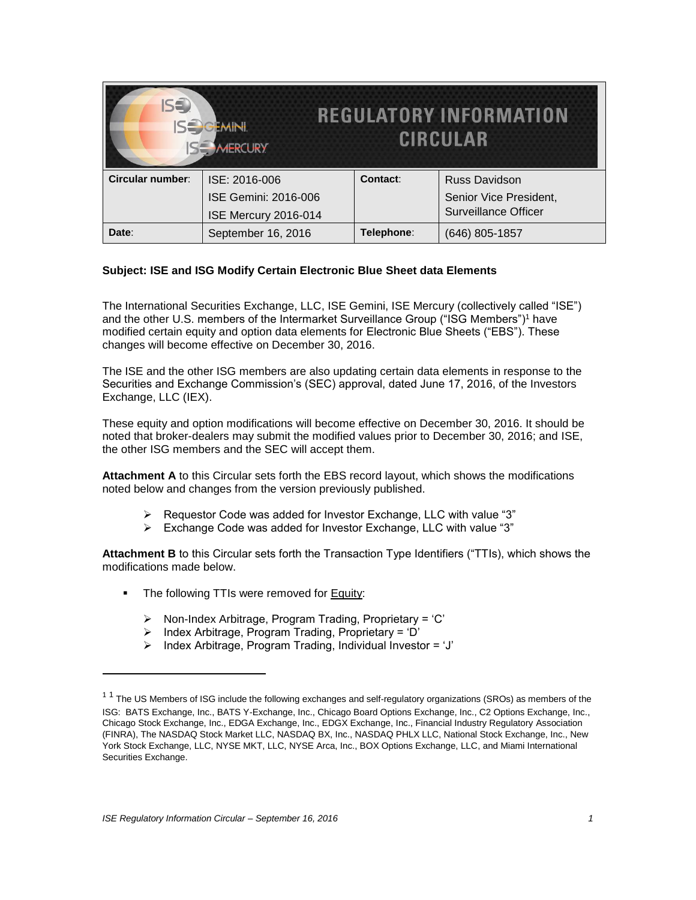| IS <sup>3</sup>  | <b>JEMINI</b><br><b>ISE MERCURY</b> |            | <b>REGULATORY INFORMATION</b><br><b>CIRCULAR</b> |
|------------------|-------------------------------------|------------|--------------------------------------------------|
| Circular number: | ISE: 2016-006                       | Contact:   | Russ Davidson                                    |
|                  | <b>ISE Gemini: 2016-006</b>         |            | Senior Vice President,                           |
|                  | ISE Mercury 2016-014                |            | <b>Surveillance Officer</b>                      |
| Date:            | September 16, 2016                  | Telephone: | (646) 805-1857                                   |

## **Subject: ISE and ISG Modify Certain Electronic Blue Sheet data Elements**

The International Securities Exchange, LLC, ISE Gemini, ISE Mercury (collectively called "ISE") and the other U.S. members of the Intermarket Surveillance Group ("ISG Members")<sup>1</sup> have modified certain equity and option data elements for Electronic Blue Sheets ("EBS"). These changes will become effective on December 30, 2016.

The ISE and the other ISG members are also updating certain data elements in response to the Securities and Exchange Commission's (SEC) approval, dated June 17, 2016, of the Investors Exchange, LLC (IEX).

These equity and option modifications will become effective on December 30, 2016. It should be noted that broker-dealers may submit the modified values prior to December 30, 2016; and ISE, the other ISG members and the SEC will accept them.

**Attachment A** to this Circular sets forth the EBS record layout, which shows the modifications noted below and changes from the version previously published.

- $\triangleright$  Requestor Code was added for Investor Exchange, LLC with value "3"
- Exchange Code was added for Investor Exchange, LLC with value "3"

**Attachment B** to this Circular sets forth the Transaction Type Identifiers ("TTIs), which shows the modifications made below.

- The following TTIs were removed for **Equity:** 
	- $\triangleright$  Non-Index Arbitrage, Program Trading, Proprietary = 'C'
	- $\triangleright$  Index Arbitrage, Program Trading, Proprietary = 'D'
	- $\triangleright$  Index Arbitrage, Program Trading, Individual Investor = 'J'

 $\overline{a}$ 

 $1<sup>1</sup>$  The US Members of ISG include the following exchanges and self-regulatory organizations (SROs) as members of the ISG: BATS Exchange, Inc., BATS Y-Exchange, Inc., Chicago Board Options Exchange, Inc., C2 Options Exchange, Inc., Chicago Stock Exchange, Inc., EDGA Exchange, Inc., EDGX Exchange, Inc., Financial Industry Regulatory Association (FINRA), The NASDAQ Stock Market LLC, NASDAQ BX, Inc., NASDAQ PHLX LLC, National Stock Exchange, Inc., New York Stock Exchange, LLC, NYSE MKT, LLC, NYSE Arca, Inc., BOX Options Exchange, LLC, and Miami International Securities Exchange.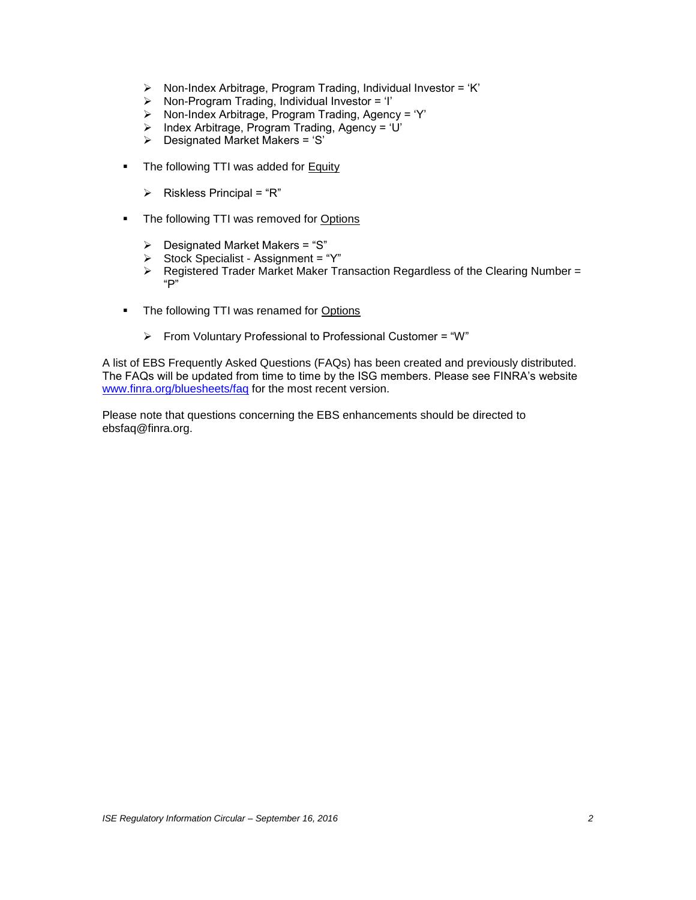- $\triangleright$  Non-Index Arbitrage, Program Trading, Individual Investor = 'K'
- > Non-Program Trading, Individual Investor = 'I'<br>> Non-Index Arbitrage, Program Trading, Agenc
- Non-Index Arbitrage, Program Trading, Agency = 'Y'
- $\triangleright$  Index Arbitrage, Program Trading, Agency = 'U'
- $\triangleright$  Designated Market Makers = 'S'
- The following TTI was added for Equity
	- $\triangleright$  Riskless Principal = "R"
- The following TTI was removed for Options
	- $\triangleright$  Designated Market Makers = "S"
	- Stock Specialist Assignment = "Y"
	- Registered Trader Market Maker Transaction Regardless of the Clearing Number = "P"
- The following TTI was renamed for Options
	- $\triangleright$  From Voluntary Professional to Professional Customer = "W"

A list of EBS Frequently Asked Questions (FAQs) has been created and previously distributed. The FAQs will be updated from time to time by the ISG members. Please see FINRA's website [www.finra.org/bluesheets/faq](http://www.finra.org/bluesheets/faq) for the most recent version.

Please note that questions concerning the EBS enhancements should be directed to [ebsfaq@finra.org.](mailto:ebsfaq@finra.org)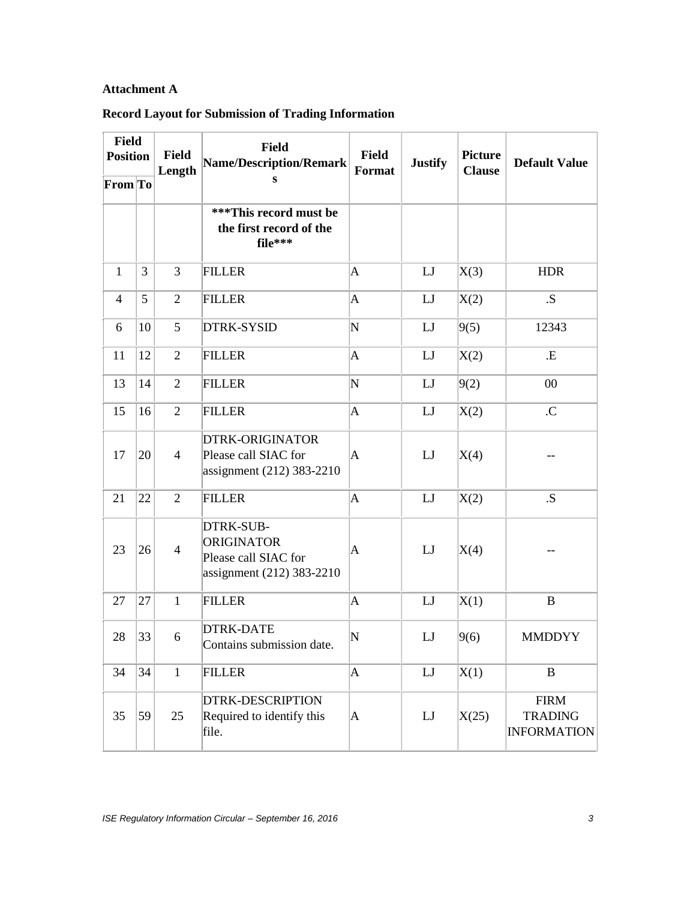## **Attachment A**

## **Record Layout for Submission of Trading Information**

| <b>Field</b><br><b>Position</b> |    | <b>Field</b><br>Length | Field<br><b>Name/Description/Remark</b>                                             | <b>Field</b><br>Format | <b>Justify</b> | <b>Picture</b><br><b>Clause</b> | <b>Default Value</b>                                |
|---------------------------------|----|------------------------|-------------------------------------------------------------------------------------|------------------------|----------------|---------------------------------|-----------------------------------------------------|
| From To                         |    |                        | S                                                                                   |                        |                |                                 |                                                     |
|                                 |    |                        | ***This record must be<br>the first record of the<br>file***                        |                        |                |                                 |                                                     |
| $\mathbf{1}$                    | 3  | 3                      | <b>FILLER</b>                                                                       | $\mathbf A$            | LJ             | X(3)                            | <b>HDR</b>                                          |
| $\overline{4}$                  | 5  | $\overline{2}$         | <b>FILLER</b>                                                                       | $\overline{A}$         | LJ             | X(2)                            | .S.                                                 |
| 6                               | 10 | 5                      | <b>DTRK-SYSID</b>                                                                   | N                      | LJ             | 9(5)                            | 12343                                               |
| 11                              | 12 | $\overline{2}$         | <b>FILLER</b>                                                                       | $\mathbf A$            | LJ             | X(2)                            | .E                                                  |
| 13                              | 14 | $\overline{2}$         | <b>FILLER</b>                                                                       | N                      | LJ             | 9(2)                            | 00                                                  |
| 15                              | 16 | $\overline{2}$         | <b>FILLER</b>                                                                       | $\mathbf A$            | LJ             | X(2)                            | $\mathcal{C}$                                       |
| 17                              | 20 | $\overline{4}$         | <b>DTRK-ORIGINATOR</b><br>Please call SIAC for<br>assignment (212) 383-2210         | A                      | LJ             | X(4)                            |                                                     |
| 21                              | 22 | $\overline{2}$         | <b>FILLER</b>                                                                       | $\mathbf A$            | LJ             | X(2)                            | .S.                                                 |
| 23                              | 26 | $\overline{4}$         | DTRK-SUB-<br><b>ORIGINATOR</b><br>Please call SIAC for<br>assignment (212) 383-2210 | A                      | LI             | X(4)                            |                                                     |
| 27                              | 27 | $\mathbf{1}$           | <b>FILLER</b>                                                                       | $\mathbf A$            | LJ             | X(1)                            | $\bf{B}$                                            |
| 28                              | 33 | 6                      | <b>DTRK-DATE</b><br>Contains submission date.                                       | $ {\rm N}$             | LJ             | 9(6)                            | <b>MMDDYY</b>                                       |
| 34                              | 34 | $\mathbf{1}$           | <b>FILLER</b>                                                                       | $\overline{A}$         | LI             | X(1)                            | $\, {\bf B}$                                        |
| 35                              | 59 | 25                     | <b>DTRK-DESCRIPTION</b><br>Required to identify this<br>file.                       | $\mathbf A$            | LJ             | X(25)                           | <b>FIRM</b><br><b>TRADING</b><br><b>INFORMATION</b> |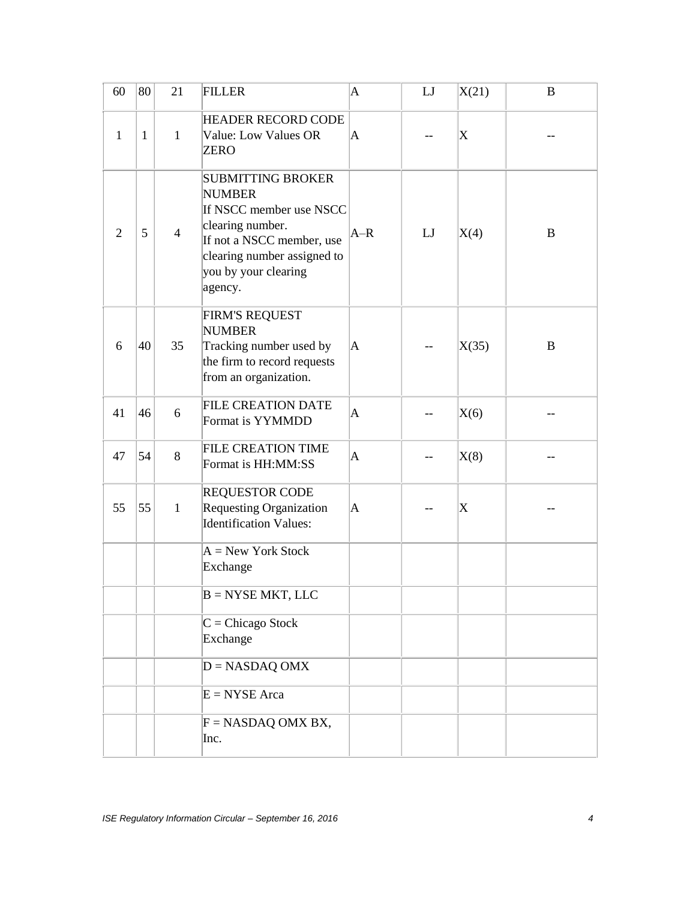| 60           | 80           | 21             | <b>FILLER</b>                                                                                                                                                                           | $\mathbf A$ | LI | X(21)                     | B |
|--------------|--------------|----------------|-----------------------------------------------------------------------------------------------------------------------------------------------------------------------------------------|-------------|----|---------------------------|---|
| $\mathbf{1}$ | $\mathbf{1}$ | $\mathbf{1}$   | <b>HEADER RECORD CODE</b><br>Value: Low Values OR<br>ZERO                                                                                                                               | A           |    | $\boldsymbol{\mathrm{X}}$ |   |
| 2            | 5            | $\overline{4}$ | <b>SUBMITTING BROKER</b><br><b>NUMBER</b><br>If NSCC member use NSCC<br>clearing number.<br>If not a NSCC member, use<br>clearing number assigned to<br>you by your clearing<br>agency. | $A-R$       | LI | X(4)                      | B |
| 6            | 40           | 35             | <b>FIRM'S REQUEST</b><br><b>NUMBER</b><br>Tracking number used by<br>the firm to record requests<br>from an organization.                                                               | A           |    | X(35)                     | B |
| 41           | 46           | 6              | <b>FILE CREATION DATE</b><br>Format is YYMMDD                                                                                                                                           | A           |    | X(6)                      |   |
| 47           | 54           | 8              | <b>FILE CREATION TIME</b><br>Format is HH:MM:SS                                                                                                                                         | A           |    | X(8)                      |   |
| 55           | 55           | $\mathbf{1}$   | <b>REQUESTOR CODE</b><br><b>Requesting Organization</b><br><b>Identification Values:</b>                                                                                                | $\mathbf A$ |    | $\boldsymbol{\mathrm{X}}$ |   |
|              |              |                | $A = New York Stock$<br>Exchange                                                                                                                                                        |             |    |                           |   |
|              |              |                | $B = NYSE MKT$ , LLC                                                                                                                                                                    |             |    |                           |   |
|              |              |                | $C = Chicago Stock$<br>Exchange                                                                                                                                                         |             |    |                           |   |
|              |              |                | $D = NASDAQ OMX$                                                                                                                                                                        |             |    |                           |   |
|              |              |                | $E = NYSE Area$                                                                                                                                                                         |             |    |                           |   |
|              |              |                | $F = NASDAQ OMX BX,$<br>Inc.                                                                                                                                                            |             |    |                           |   |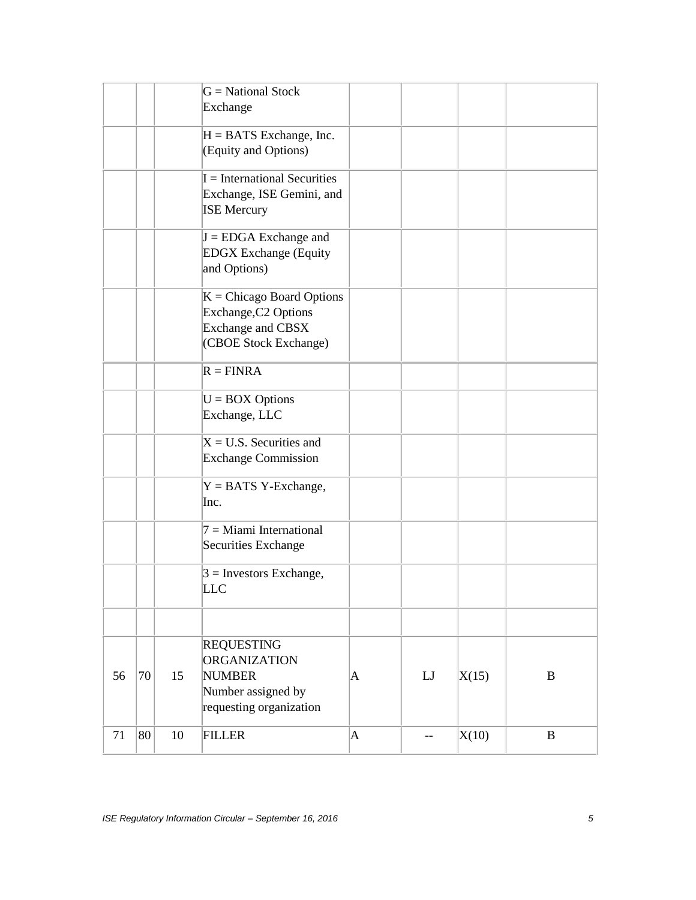|    |    |    | $G = National Stock$<br>Exchange                                                                           |             |    |       |          |
|----|----|----|------------------------------------------------------------------------------------------------------------|-------------|----|-------|----------|
|    |    |    | $H = BATS$ Exchange, Inc.<br>(Equity and Options)                                                          |             |    |       |          |
|    |    |    | $I = International Securities$<br>Exchange, ISE Gemini, and<br><b>ISE Mercury</b>                          |             |    |       |          |
|    |    |    | $J = EDGA$ Exchange and<br><b>EDGX</b> Exchange (Equity<br>and Options)                                    |             |    |       |          |
|    |    |    | $K = Chicago$ Board Options<br>Exchange, C2 Options<br>Exchange and CBSX<br>(CBOE Stock Exchange)          |             |    |       |          |
|    |    |    | $R = FINRA$                                                                                                |             |    |       |          |
|    |    |    | $U = BOX$ Options<br>Exchange, LLC                                                                         |             |    |       |          |
|    |    |    | $X = U.S.$ Securities and<br><b>Exchange Commission</b>                                                    |             |    |       |          |
|    |    |    | $Y = BATS$ Y-Exchange,<br>Inc.                                                                             |             |    |       |          |
|    |    |    | $7 =$ Miami International<br>Securities Exchange                                                           |             |    |       |          |
|    |    |    | $3$ = Investors Exchange,<br><b>LLC</b>                                                                    |             |    |       |          |
|    |    |    |                                                                                                            |             |    |       |          |
| 56 | 70 | 15 | <b>REQUESTING</b><br><b>ORGANIZATION</b><br><b>NUMBER</b><br>Number assigned by<br>requesting organization | A           | LJ | X(15) | $\bf{B}$ |
| 71 | 80 | 10 | <b>FILLER</b>                                                                                              | $\mathbf A$ | -- | X(10) | $\bf{B}$ |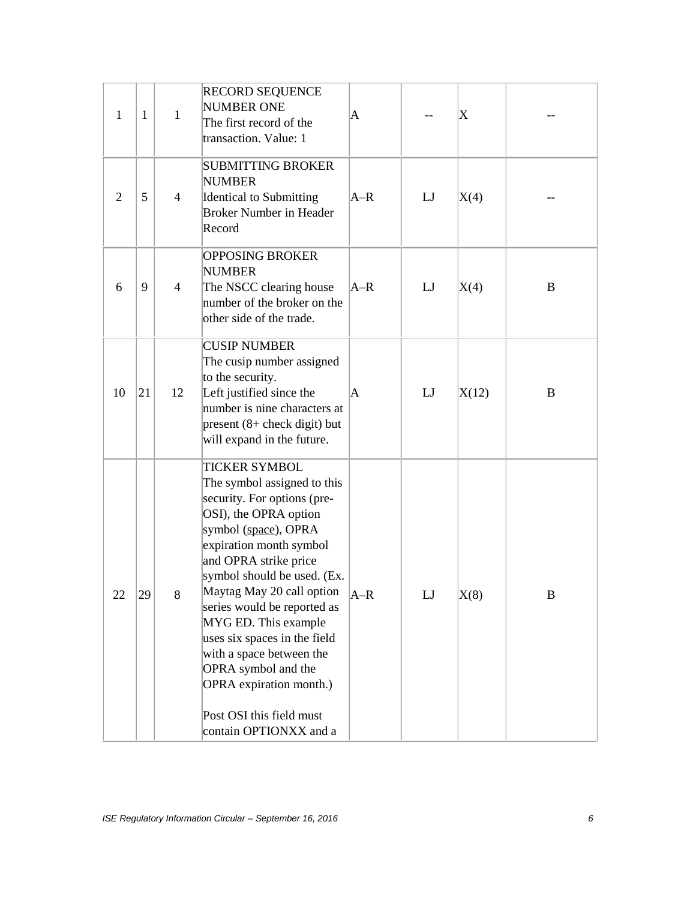| $\mathbf{1}$   | 1  | 1              | <b>RECORD SEQUENCE</b><br><b>NUMBER ONE</b><br>The first record of the<br>transaction. Value: 1                                                                                                                                                                                                                                                                                                                                                                                | A      |    | $\boldsymbol{\mathrm{X}}$ |                  |
|----------------|----|----------------|--------------------------------------------------------------------------------------------------------------------------------------------------------------------------------------------------------------------------------------------------------------------------------------------------------------------------------------------------------------------------------------------------------------------------------------------------------------------------------|--------|----|---------------------------|------------------|
| $\overline{2}$ | 5  | $\overline{4}$ | <b>SUBMITTING BROKER</b><br><b>NUMBER</b><br><b>Identical to Submitting</b><br><b>Broker Number in Header</b><br>Record                                                                                                                                                                                                                                                                                                                                                        | $A-R$  | LJ | X(4)                      |                  |
| 6              | 9  | $\overline{4}$ | <b>OPPOSING BROKER</b><br><b>NUMBER</b><br>The NSCC clearing house<br>number of the broker on the<br>other side of the trade.                                                                                                                                                                                                                                                                                                                                                  | $AA-R$ | LJ | X(4)                      | B                |
| 10             | 21 | 12             | <b>CUSIP NUMBER</b><br>The cusip number assigned<br>to the security.<br>Left justified since the<br>number is nine characters at<br>$present (8 + check digit) but$<br>will expand in the future.                                                                                                                                                                                                                                                                              | A      | LJ | X(12)                     | B                |
| 22             | 29 | 8              | <b>TICKER SYMBOL</b><br>The symbol assigned to this<br>security. For options (pre-<br>OSI), the OPRA option<br>symbol (space), OPRA<br>expiration month symbol<br>and OPRA strike price<br>symbol should be used. (Ex.<br>Maytag May 20 call option<br>series would be reported as<br>MYG ED. This example<br>uses six spaces in the field<br>with a space between the<br>OPRA symbol and the<br>OPRA expiration month.)<br>Post OSI this field must<br>contain OPTIONXX and a | $A-R$  | LJ | X(8)                      | $\boldsymbol{B}$ |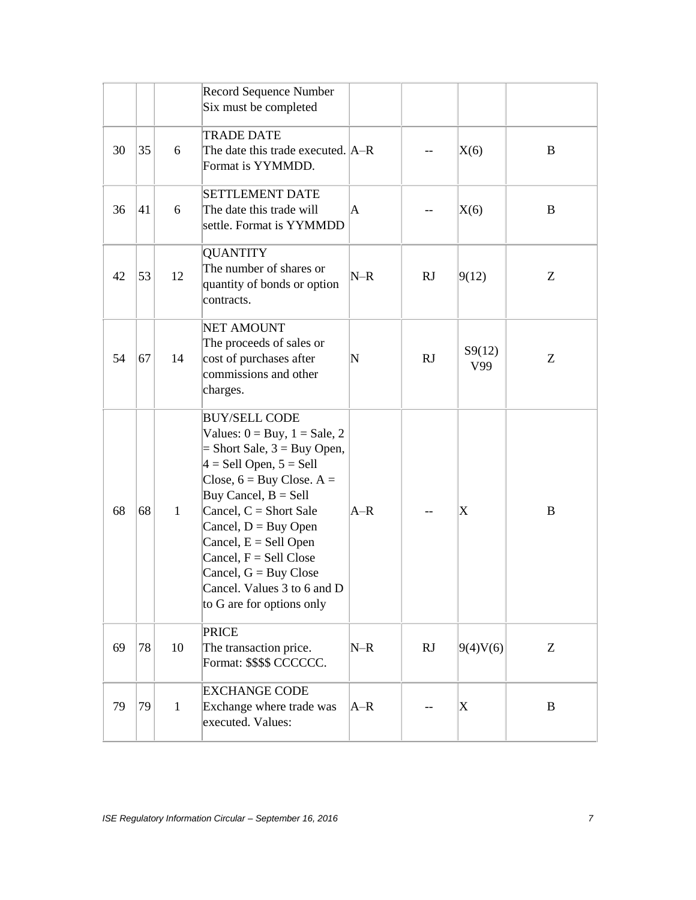|    |    |              | <b>Record Sequence Number</b><br>Six must be completed                                                                                                                                                                                                                                                                                                                                            |       |    |                           |          |
|----|----|--------------|---------------------------------------------------------------------------------------------------------------------------------------------------------------------------------------------------------------------------------------------------------------------------------------------------------------------------------------------------------------------------------------------------|-------|----|---------------------------|----------|
| 30 | 35 | 6            | <b>TRADE DATE</b><br>The date this trade executed. A–R<br>Format is YYMMDD.                                                                                                                                                                                                                                                                                                                       |       |    | X(6)                      | B        |
| 36 | 41 | 6            | <b>SETTLEMENT DATE</b><br>The date this trade will<br>settle. Format is YYMMDD                                                                                                                                                                                                                                                                                                                    | A     |    | X(6)                      | B        |
| 42 | 53 | 12           | <b>QUANTITY</b><br>The number of shares or<br>quantity of bonds or option<br>contracts.                                                                                                                                                                                                                                                                                                           | $N-R$ | RJ | 9(12)                     | Z        |
| 54 | 67 | 14           | <b>NET AMOUNT</b><br>The proceeds of sales or<br>cost of purchases after<br>commissions and other<br>charges.                                                                                                                                                                                                                                                                                     | N     | RJ | S9(12)<br>V99             | Z        |
| 68 | 68 | $\mathbf{1}$ | <b>BUY/SELL CODE</b><br>Values: $0 = Buy$ , $1 = Sale$ , 2<br>$=$ Short Sale, $3 =$ Buy Open,<br>$4 =$ Sell Open, $5 =$ Sell<br>Close, $6 = \text{Buy Close}$ . A =<br>Buy Cancel, $B =$ Sell<br>Cancel, $C =$ Short Sale<br>Cancel, $D = Buy$ Open<br>Cancel, $E =$ Sell Open<br>Cancel, $F =$ Sell Close<br>Cancel, $G = Buy$ Close<br>Cancel. Values 3 to 6 and D<br>to G are for options only | $A-R$ |    | X                         | B        |
| 69 | 78 | 10           | <b>PRICE</b><br>The transaction price.<br>Format: \$\$\$\$ CCCCCC.                                                                                                                                                                                                                                                                                                                                | $N-R$ | RJ | 9(4)V(6)                  | Z        |
| 79 | 79 | $\mathbf{1}$ | <b>EXCHANGE CODE</b><br>Exchange where trade was<br>executed. Values:                                                                                                                                                                                                                                                                                                                             | $A-R$ |    | $\boldsymbol{\mathrm{X}}$ | $\bf{B}$ |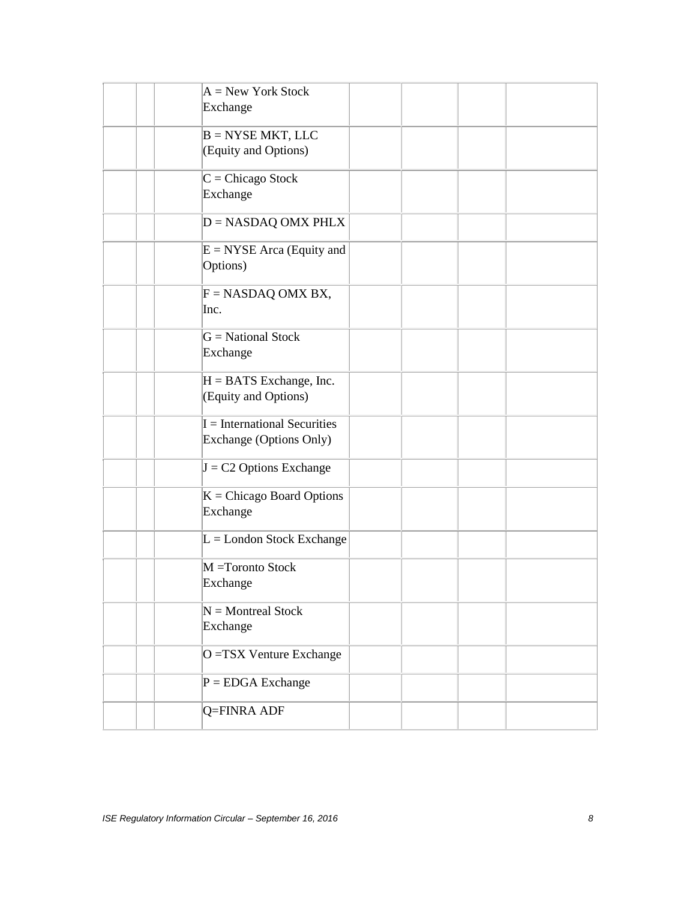| $A = New York Stock$<br>Exchange                          |  |  |
|-----------------------------------------------------------|--|--|
| $B = NYSE MKT$ , LLC<br>(Equity and Options)              |  |  |
| $C = Chicago Stock$<br>Exchange                           |  |  |
| $D = NASDAQ$ OMX PHLX                                     |  |  |
| $E = NYSE$ Arca (Equity and<br>Options)                   |  |  |
| $F = NASDAQ OMX BX,$<br>Inc.                              |  |  |
| $G = National Stock$<br>Exchange                          |  |  |
| $H = BATS$ Exchange, Inc.<br>(Equity and Options)         |  |  |
| $I = International Securities$<br>Exchange (Options Only) |  |  |
| $J = C2$ Options Exchange                                 |  |  |
| $K = Chicago$ Board Options<br>Exchange                   |  |  |
| $L =$ London Stock Exchange                               |  |  |
| M =Toronto Stock<br>Exchange                              |  |  |
| $N =$ Montreal Stock<br>Exchange                          |  |  |
| O = TSX Venture Exchange                                  |  |  |
| $P = EDGA$ Exchange                                       |  |  |
| Q=FINRA ADF                                               |  |  |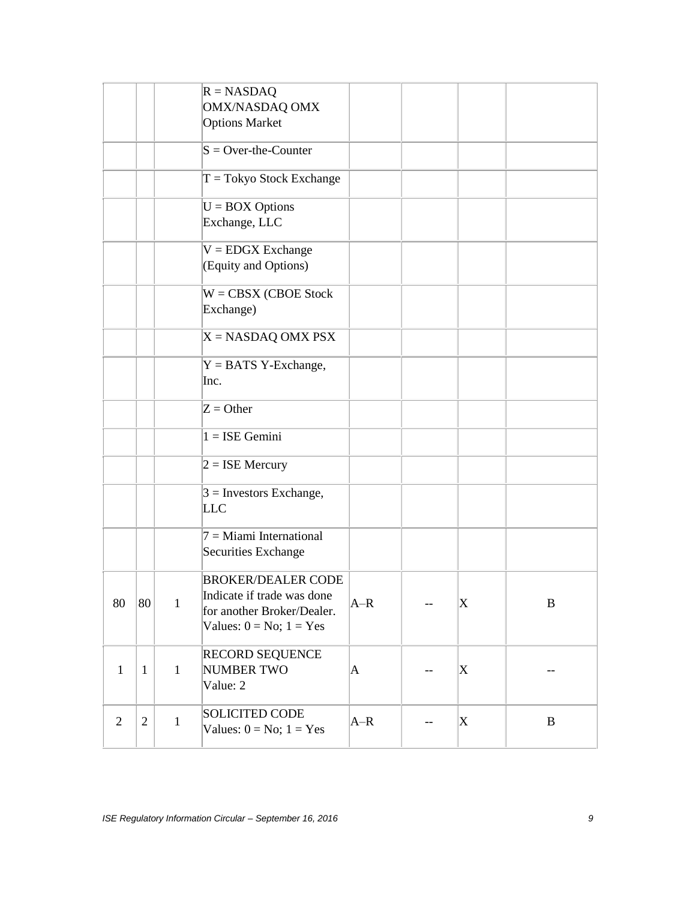|                |              |              | $R = NASDAQ$<br>OMX/NASDAQ OMX<br><b>Options Market</b>                                                               |       |    |                           |              |
|----------------|--------------|--------------|-----------------------------------------------------------------------------------------------------------------------|-------|----|---------------------------|--------------|
|                |              |              | $S = Over-the-Counter$                                                                                                |       |    |                           |              |
|                |              |              | $T = Tokyo Stock Exchange$                                                                                            |       |    |                           |              |
|                |              |              | $U = \text{BOX Options}$<br>Exchange, LLC                                                                             |       |    |                           |              |
|                |              |              | $V = EDGX$ Exchange<br>(Equity and Options)                                                                           |       |    |                           |              |
|                |              |              | $W = CBSX (CBOE Stock)$<br>Exchange)                                                                                  |       |    |                           |              |
|                |              |              | $X = NASDAQ$ OMX PSX                                                                                                  |       |    |                           |              |
|                |              |              | $Y = BATS$ Y-Exchange,<br>Inc.                                                                                        |       |    |                           |              |
|                |              |              | $Z =$ Other                                                                                                           |       |    |                           |              |
|                |              |              | $1 = ISE$ Gemini                                                                                                      |       |    |                           |              |
|                |              |              | $2 = ISE Mercury$                                                                                                     |       |    |                           |              |
|                |              |              | $3$ = Investors Exchange,<br>LLC                                                                                      |       |    |                           |              |
|                |              |              | $7 =$ Miami International<br>Securities Exchange                                                                      |       |    |                           |              |
| 80             | 80           | $\mathbf{1}$ | <b>BROKER/DEALER CODE</b><br>Indicate if trade was done<br>for another Broker/Dealer.<br>Values: $0 = No$ ; $1 = Yes$ | $A-R$ | -- | $\boldsymbol{\mathrm{X}}$ | $\bf{B}$     |
| $\mathbf{1}$   | $\mathbf{1}$ | $\mathbf{1}$ | RECORD SEQUENCE<br><b>NUMBER TWO</b><br>Value: 2                                                                      | A     |    | X                         |              |
| $\overline{2}$ | $\mathbf{2}$ | $\mathbf{1}$ | <b>SOLICITED CODE</b><br>Values: $0 = No$ ; $1 = Yes$                                                                 | $A-R$ |    | X                         | $\, {\bf B}$ |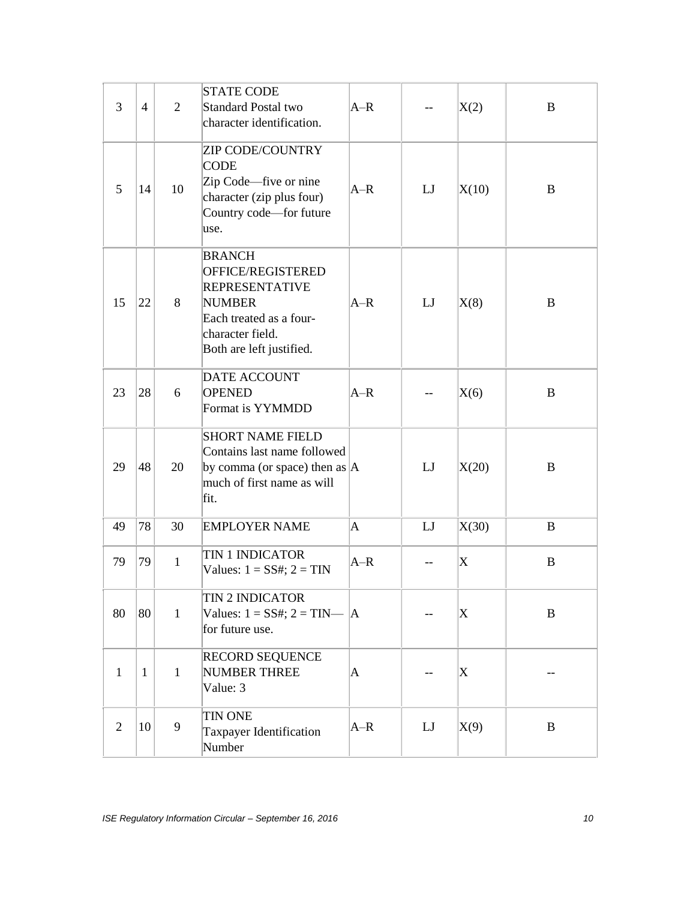| 3              | $\overline{4}$ | $\overline{2}$ | <b>STATE CODE</b><br><b>Standard Postal two</b><br>character identification.                                                                            | $A-R$       |    | X(2)                      | B        |
|----------------|----------------|----------------|---------------------------------------------------------------------------------------------------------------------------------------------------------|-------------|----|---------------------------|----------|
| 5              | 14             | 10             | <b>ZIP CODE/COUNTRY</b><br><b>CODE</b><br>Zip Code—five or nine<br>character (zip plus four)<br>Country code-for future<br>use.                         | $A-R$       | LI | X(10)                     | B        |
| 15             | 22             | 8              | <b>BRANCH</b><br>OFFICE/REGISTERED<br><b>REPRESENTATIVE</b><br><b>NUMBER</b><br>Each treated as a four-<br>character field.<br>Both are left justified. | $A-R$       | LJ | X(8)                      | B        |
| 23             | 28             | 6              | <b>DATE ACCOUNT</b><br><b>OPENED</b><br>Format is YYMMDD                                                                                                | $A-R$       |    | X(6)                      | B        |
| 29             | 48             | 20             | <b>SHORT NAME FIELD</b><br>Contains last name followed<br>by comma (or space) then as $ A $<br>much of first name as will<br>fit.                       |             | LJ | X(20)                     | B        |
| 49             | 78             | 30             | <b>EMPLOYER NAME</b>                                                                                                                                    | $\mathbf A$ | LJ | X(30)                     | B        |
| 79             | 79             | $\mathbf{1}$   | <b>TIN 1 INDICATOR</b><br>Values: $1 = SS#$ ; $2 = TIN$                                                                                                 | $A-R$       | -- | X                         | B        |
| 80             | 80             | $\mathbf{1}$   | <b>TIN 2 INDICATOR</b><br>Values: $1 = SS#$ ; $2 = TIN \_  A$<br>for future use.                                                                        |             |    | X                         | $\bf{B}$ |
| $\mathbf{1}$   | $\mathbf{1}$   | $\mathbf{1}$   | <b>RECORD SEQUENCE</b><br><b>NUMBER THREE</b><br>Value: 3                                                                                               | $\mathbf A$ |    | $\boldsymbol{\mathrm{X}}$ |          |
| $\overline{2}$ | 10             | 9              | <b>TIN ONE</b><br>Taxpayer Identification<br>Number                                                                                                     | $A-R$       | LJ | X(9)                      | $\bf{B}$ |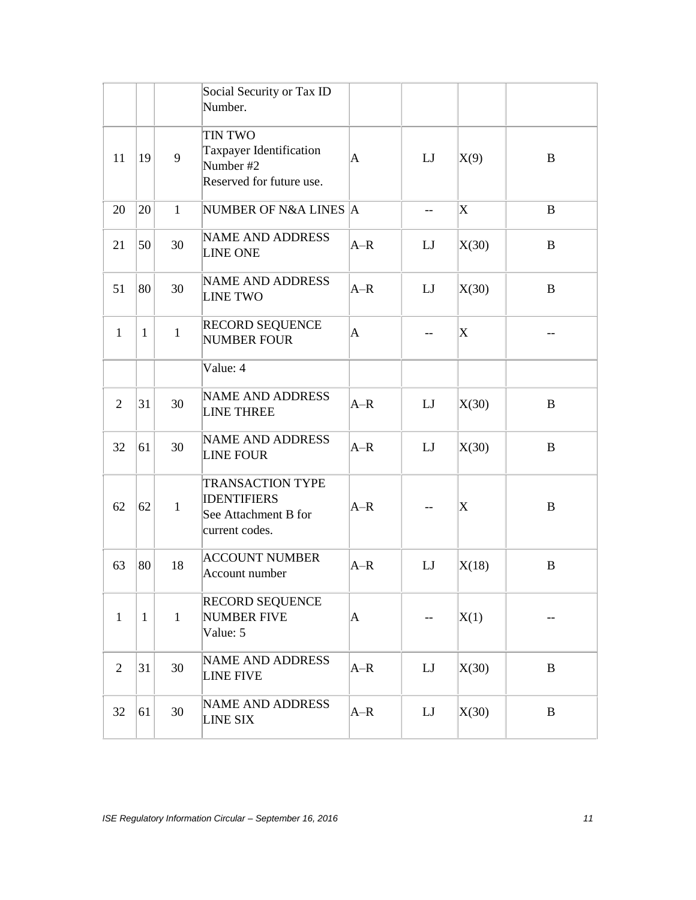|                |              |              | Social Security or Tax ID<br>Number.                                                    |       |                          |                           |             |
|----------------|--------------|--------------|-----------------------------------------------------------------------------------------|-------|--------------------------|---------------------------|-------------|
| 11             | 19           | 9            | TIN TWO<br>Taxpayer Identification<br>Number #2<br>Reserved for future use.             | A     | LJ                       | X(9)                      | B           |
| 20             | 20           | $\mathbf{1}$ | NUMBER OF N&A LINES A                                                                   |       | $\overline{\phantom{m}}$ | $\boldsymbol{\mathrm{X}}$ | B           |
| 21             | 50           | 30           | <b>NAME AND ADDRESS</b><br><b>LINE ONE</b>                                              | $A-R$ | LI                       | X(30)                     | $\bf{B}$    |
| 51             | 80           | 30           | <b>NAME AND ADDRESS</b><br><b>LINE TWO</b>                                              | $A-R$ | LJ                       | X(30)                     | $\mathbf B$ |
| $\mathbf{1}$   | $\mathbf{1}$ | $\mathbf{1}$ | <b>RECORD SEQUENCE</b><br><b>NUMBER FOUR</b>                                            | A     | --                       | $\boldsymbol{\mathrm{X}}$ |             |
|                |              |              | Value: 4                                                                                |       |                          |                           |             |
| 2              | 31           | 30           | <b>NAME AND ADDRESS</b><br><b>LINE THREE</b>                                            | $A-R$ | LI                       | X(30)                     | B           |
| 32             | 61           | 30           | <b>NAME AND ADDRESS</b><br><b>LINE FOUR</b>                                             | $A-R$ | LI                       | X(30)                     | B           |
| 62             | 62           | $\mathbf{1}$ | <b>TRANSACTION TYPE</b><br><b>IDENTIFIERS</b><br>See Attachment B for<br>current codes. | $A-R$ | $- -$                    | $\boldsymbol{\mathrm{X}}$ | B           |
| 63             | 80           | 18           | <b>ACCOUNT NUMBER</b><br>Account number                                                 | $A-R$ | LJ                       | X(18)                     | B           |
| $\mathbf{1}$   | $\mathbf{1}$ | $\mathbf{1}$ | <b>RECORD SEQUENCE</b><br>NUMBER FIVE<br>Value: 5                                       | A     | --                       | X(1)                      |             |
| $\overline{2}$ | 31           | 30           | <b>NAME AND ADDRESS</b><br><b>LINE FIVE</b>                                             | $A-R$ | LJ                       | X(30)                     | $\bf{B}$    |
| 32             | 61           | 30           | <b>NAME AND ADDRESS</b><br><b>LINE SIX</b>                                              | $A-R$ | LJ                       | X(30)                     | $\bf{B}$    |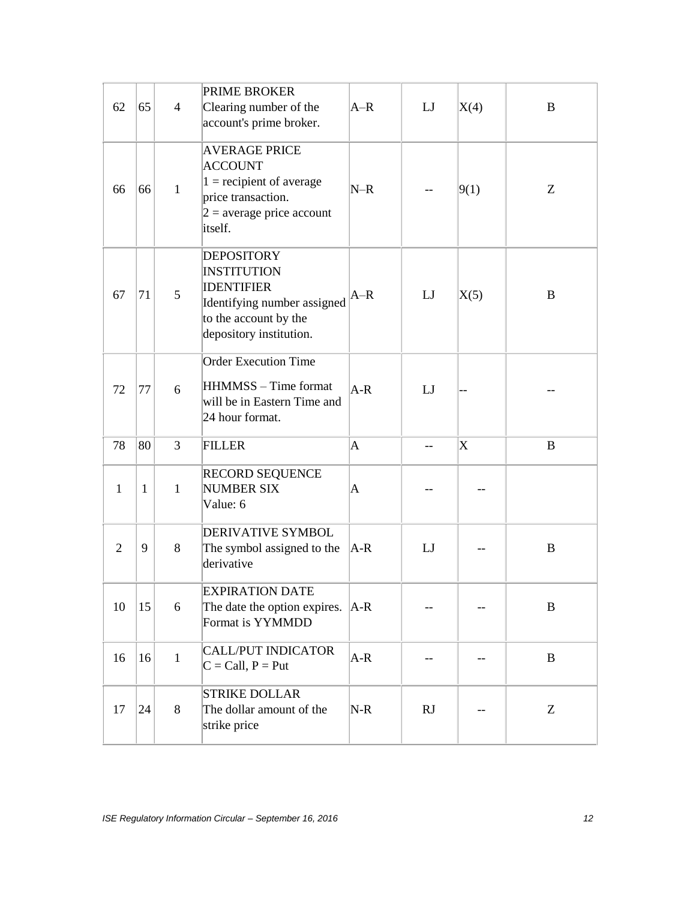| 62             | 65           | $\overline{4}$ | PRIME BROKER<br>Clearing number of the<br>account's prime broker.                                                                               | $A-R$   | LJ  | X(4) | B        |
|----------------|--------------|----------------|-------------------------------------------------------------------------------------------------------------------------------------------------|---------|-----|------|----------|
| 66             | 66           | $\mathbf{1}$   | <b>AVERAGE PRICE</b><br><b>ACCOUNT</b><br>$1 =$ recipient of average<br>price transaction.<br>$2$ = average price account<br>itself.            | $N-R$   |     | 9(1) | Z        |
| 67             | 71           | 5              | <b>DEPOSITORY</b><br><b>INSTITUTION</b><br><b>IDENTIFIER</b><br>Identifying number assigned<br>to the account by the<br>depository institution. | $A-R$   | LJ  | X(5) | B        |
| 72             | 77           | 6              | <b>Order Execution Time</b><br>HHMMSS - Time format<br>will be in Eastern Time and<br>24 hour format.                                           | $A-R$   | LJ  |      |          |
| 78             | 80           | 3              | <b>FILLER</b>                                                                                                                                   | A       | $-$ | X    | B        |
| $\mathbf{1}$   | $\mathbf{1}$ | $\mathbf{1}$   | <b>RECORD SEQUENCE</b><br><b>NUMBER SIX</b><br>Value: 6                                                                                         | A       |     |      |          |
| $\overline{2}$ | 9            | 8              | <b>DERIVATIVE SYMBOL</b><br>The symbol assigned to the<br>derivative                                                                            | $ A-R $ | LJ  |      | B        |
| 10             | 15           | 6              | <b>EXPIRATION DATE</b><br>The date the option expires. $ A-R $<br>Format is YYMMDD                                                              |         |     |      | B        |
| 16             | 16           | $\mathbf{1}$   | <b>CALL/PUT INDICATOR</b><br>$C = Call, P = Put$                                                                                                | $A-R$   | --  | --   | $\bf{B}$ |
| 17             | 24           | 8              | <b>STRIKE DOLLAR</b><br>The dollar amount of the<br>strike price                                                                                | $N-R$   | RJ  |      | Z        |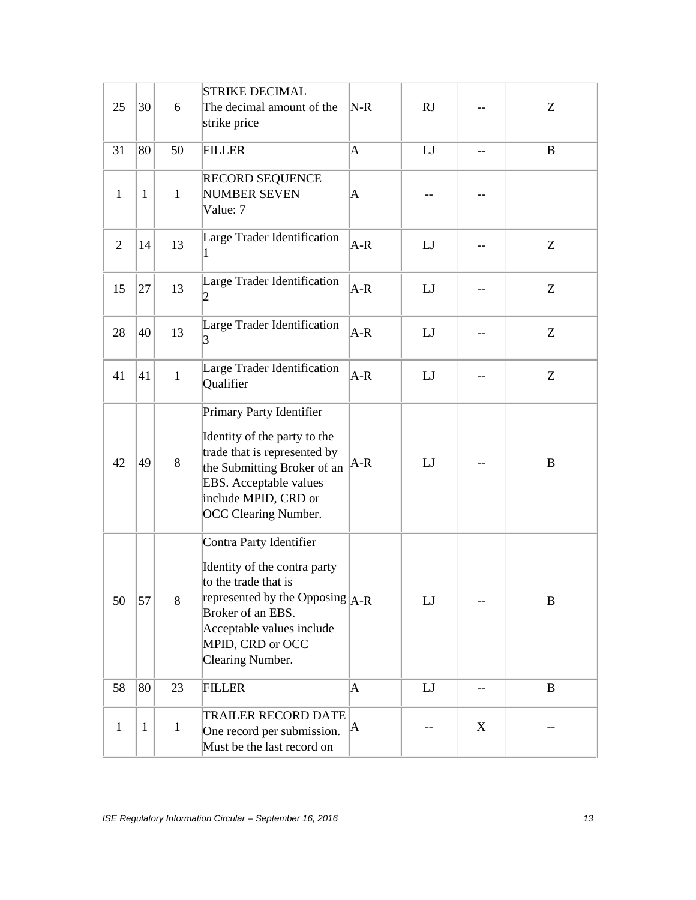| 25             | 30           | 6            | <b>STRIKE DECIMAL</b><br>The decimal amount of the<br>strike price                                                                                                                                               | $N-R$       | RJ |    | Z        |
|----------------|--------------|--------------|------------------------------------------------------------------------------------------------------------------------------------------------------------------------------------------------------------------|-------------|----|----|----------|
| 31             | 80           | 50           | <b>FILLER</b>                                                                                                                                                                                                    | $\mathbf A$ | LJ | -- | B        |
| $\mathbf{1}$   | $\mathbf{1}$ | $\mathbf{1}$ | RECORD SEQUENCE<br><b>NUMBER SEVEN</b><br>Value: 7                                                                                                                                                               | A           |    |    |          |
| $\overline{2}$ | 14           | 13           | Large Trader Identification<br>1                                                                                                                                                                                 | $A-R$       | LJ |    | Z        |
| 15             | 27           | 13           | Large Trader Identification<br>2                                                                                                                                                                                 | $A-R$       | LJ |    | Z        |
| 28             | 40           | 13           | Large Trader Identification<br>3                                                                                                                                                                                 | $A-R$       | LJ |    | Z        |
| 41             | 41           | $\mathbf{1}$ | Large Trader Identification<br>Qualifier                                                                                                                                                                         | $A-R$       | LJ |    | Z        |
| 42             | 49           | 8            | Primary Party Identifier<br>Identity of the party to the<br>trade that is represented by<br>the Submitting Broker of an<br>EBS. Acceptable values<br>include MPID, CRD or<br><b>OCC Clearing Number.</b>         | $A-R$       | LJ |    | $\bf{B}$ |
| 50             | 57           | 8            | Contra Party Identifier<br>Identity of the contra party<br>to the trade that is<br>represented by the Opposing $ A-R $<br>Broker of an EBS.<br>Acceptable values include<br>MPID, CRD or OCC<br>Clearing Number. |             | LJ |    | B        |
| 58             | 80           | 23           | <b>FILLER</b>                                                                                                                                                                                                    | $\mathbf A$ | LJ | -- | $\bf{B}$ |
| $\mathbf{1}$   | $\mathbf{1}$ | $\mathbf{1}$ | <b>TRAILER RECORD DATE</b><br>One record per submission.<br>Must be the last record on                                                                                                                           | A           |    | X  |          |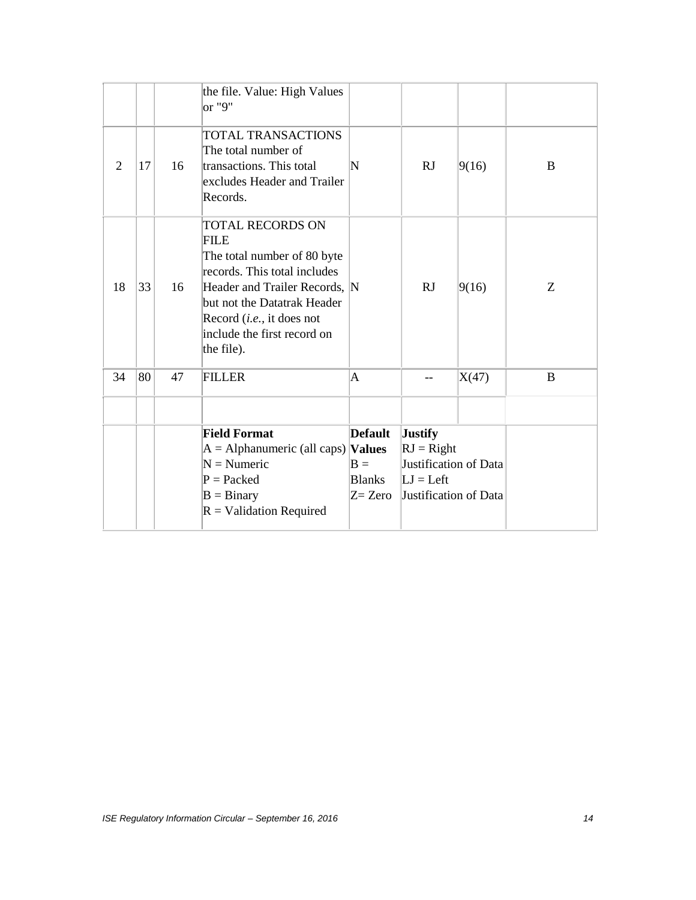|                |    |    | the file. Value: High Values<br>or "9"                                                                                                                                                                                                          |                           |                       |       |   |
|----------------|----|----|-------------------------------------------------------------------------------------------------------------------------------------------------------------------------------------------------------------------------------------------------|---------------------------|-----------------------|-------|---|
| $\overline{2}$ | 17 | 16 | TOTAL TRANSACTIONS<br>The total number of<br>transactions. This total<br>excludes Header and Trailer<br>Records.                                                                                                                                | $\boldsymbol{\mathrm{N}}$ | <b>RJ</b>             | 9(16) | B |
| 18             | 33 | 16 | <b>TOTAL RECORDS ON</b><br><b>FILE</b><br>The total number of 80 byte<br>records. This total includes<br>Header and Trailer Records, N<br>but not the Datatrak Header<br>Record (i.e., it does not<br>include the first record on<br>the file). |                           | RJ                    | 9(16) | Ζ |
| 34             | 80 | 47 | <b>FILLER</b>                                                                                                                                                                                                                                   | $\mathbf A$               | --                    | X(47) | B |
|                |    |    |                                                                                                                                                                                                                                                 |                           |                       |       |   |
|                |    |    | <b>Field Format</b>                                                                                                                                                                                                                             | <b>Default</b>            | <b>Justify</b>        |       |   |
|                |    |    | $A =$ Alphanumeric (all caps) <b>Values</b>                                                                                                                                                                                                     |                           | $RJ = Right$          |       |   |
|                |    |    | $N =$ Numeric                                                                                                                                                                                                                                   | $B =$                     | Justification of Data |       |   |
|                |    |    | $P =$ Packed                                                                                                                                                                                                                                    | <b>Blanks</b>             | $LI = Left$           |       |   |
|                |    |    | $B = Binary$                                                                                                                                                                                                                                    | $Z = Zero$                | Justification of Data |       |   |
|                |    |    | $R =$ Validation Required                                                                                                                                                                                                                       |                           |                       |       |   |